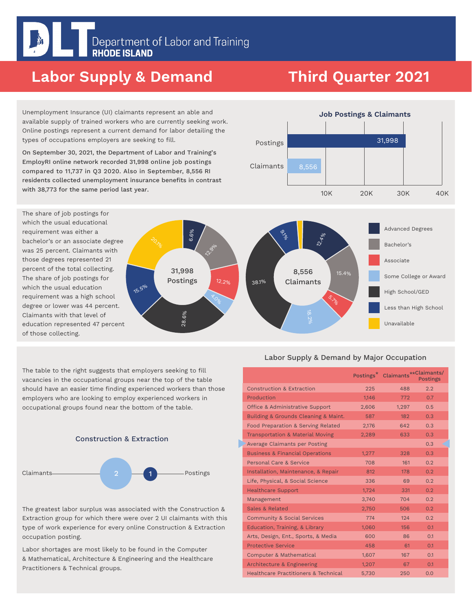# Labor Supply & Demand

# Third Quarter 2021

Unemployment Insurance (UI) claimants represent an able and available supply of trained workers who are currently seeking work. Online postings represent a current demand for labor detailing the types of occupations employers are seeking to fill.

On September 30, 2021, the Department of Labor and Training's EmployRI online network recorded 31,998 online job postings compared to 11,737 in Q3 2020. Also in September, 8,556 RI residents collected unemployment insurance benefits in contrast with 38,773 for the same period last year.



10K Advanced Degrees Bachelor's Associate Some College or Award High School/GED Less than High School 8,556 Claimants 15.4% 72.4% ه<br>مهن 38.1% 31,998 Postings 12.2% **2.9%** 6.6% 15.5% 28.6% **A.O.** s.<br>S. 20

The table to the right suggests that employers seeking to fill vacancies in the occupational groups near the top of the table should have an easier time finding experienced workers than those employers who are looking to employ experienced workers in occupational groups found near the bottom of the table.



The greatest labor surplus was associated with the Construction & Extraction group for which there were over 2 UI claimants with this type of work experience for every online Construction & Extraction occupation posting.

Labor shortages are most likely to be found in the Computer & Mathematical, Architecture & Engineering and the Healthcare Practitioners & Technical groups.

#### Labor Supply & Demand by Major Occupation

Unavailable

|                                                 | Postings <sup>*</sup> | Claimants**Claimants/ | <b>Postings</b> |
|-------------------------------------------------|-----------------------|-----------------------|-----------------|
| <b>Construction &amp; Extraction</b>            | 225                   | 488                   | 2.2             |
| Production                                      | 1.146                 | 772                   | 0.7             |
| <b>Office &amp; Administrative Support</b>      | 2.606                 | 1.297                 | 0.5             |
| Building & Grounds Cleaning & Maint.            | 587                   | 182                   | 0.3             |
| Food Preparation & Serving Related              | 2,176                 | 642                   | 0.3             |
| <b>Transportation &amp; Material Moving</b>     | 2,289                 | 633                   | 0.3             |
| Average Claimants per Posting                   |                       |                       | 0.3             |
| <b>Business &amp; Financial Operations</b>      | 1,277                 | 328                   | 0.3             |
| Personal Care & Service                         | 708                   | 161                   | 0.2             |
| Installation, Maintenance, & Repair             | 812                   | 178                   | 0.2             |
| Life, Physical, & Social Science                | 336                   | 69                    | 0.2             |
| <b>Healthcare Support</b>                       | 1,724                 | 331                   | 0.2             |
| Management                                      | 3,740                 | 704                   | 0.2             |
| Sales & Related                                 | 2,750                 | 506                   | 0.2             |
| <b>Community &amp; Social Services</b>          | 774                   | 124                   | 0.2             |
| Education, Training, & Library                  | 1,060                 | 156                   | 0.1             |
| Arts, Design, Ent., Sports, & Media             | 600                   | 86                    | 0.1             |
| <b>Protective Service</b>                       | 458                   | 61                    | 0.1             |
| <b>Computer &amp; Mathematical</b>              | 1,607                 | 167                   | 0.1             |
| Architecture & Engineering                      | 1,207                 | 67                    | 0.1             |
| <b>Healthcare Practitioners &amp; Technical</b> | 5,730                 | 250                   | 0.0             |

Postings Job Postings & Claimants Claimants 20K 30K 40K 31,998 8,556